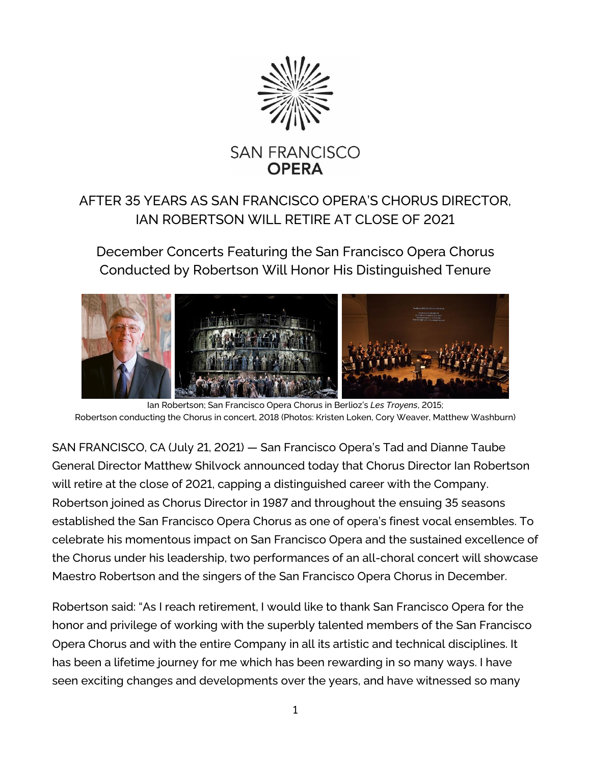

## AFTER 35 YEARS AS SAN FRANCISCO OPERA'S CHORUS DIRECTOR, IAN ROBERTSON WILL RETIRE AT CLOSE OF 2021

December Concerts Featuring the San Francisco Opera Chorus Conducted by Robertson Will Honor His Distinguished Tenure



Ian Robertson; San Francisco Opera Chorus in Berlioz's *Les Troyens*, 2015; Robertson conducting the Chorus in concert, 2018 (Photos: Kristen Loken, Cory Weaver, Matthew Washburn)

SAN FRANCISCO, CA (July 21, 2021) — San Francisco Opera's Tad and Dianne Taube General Director Matthew Shilvock announced today that Chorus Director Ian Robertson will retire at the close of 2021, capping a distinguished career with the Company. Robertson joined as Chorus Director in 1987 and throughout the ensuing 35 seasons established the San Francisco Opera Chorus as one of opera's finest vocal ensembles. To celebrate his momentous impact on San Francisco Opera and the sustained excellence of the Chorus under his leadership, two performances of an all-choral concert will showcase Maestro Robertson and the singers of the San Francisco Opera Chorus in December.

Robertson said: "As I reach retirement, I would like to thank San Francisco Opera for the honor and privilege of working with the superbly talented members of the San Francisco Opera Chorus and with the entire Company in all its artistic and technical disciplines. It has been a lifetime journey for me which has been rewarding in so many ways. I have seen exciting changes and developments over the years, and have witnessed so many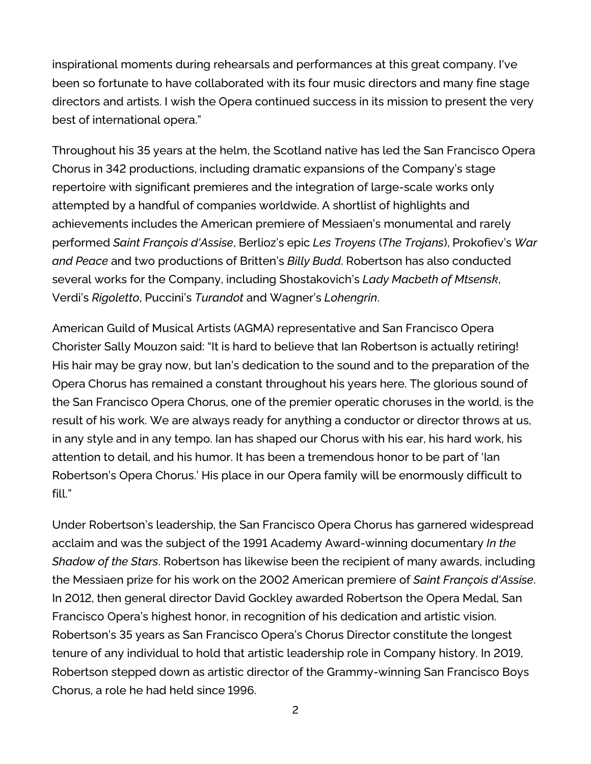inspirational moments during rehearsals and performances at this great company. I've been so fortunate to have collaborated with its four music directors and many fine stage directors and artists. I wish the Opera continued success in its mission to present the very best of international opera."

Throughout his 35 years at the helm, the Scotland native has led the San Francisco Opera Chorus in 342 productions, including dramatic expansions of the Company's stage repertoire with significant premieres and the integration of large-scale works only attempted by a handful of companies worldwide. A shortlist of highlights and achievements includes the American premiere of Messiaen's monumental and rarely performed *Saint François d'Assise*, Berlioz's epic *Les Troyens* (*The Trojans*), Prokofiev's *War and Peace* and two productions of Britten's *Billy Budd*. Robertson has also conducted several works for the Company, including Shostakovich's *Lady Macbeth of Mtsensk*, Verdi's *Rigoletto*, Puccini's *Turandot* and Wagner's *Lohengrin*.

American Guild of Musical Artists (AGMA) representative and San Francisco Opera Chorister Sally Mouzon said: "It is hard to believe that Ian Robertson is actually retiring! His hair may be gray now, but Ian's dedication to the sound and to the preparation of the Opera Chorus has remained a constant throughout his years here. The glorious sound of the San Francisco Opera Chorus, one of the premier operatic choruses in the world, is the result of his work. We are always ready for anything a conductor or director throws at us, in any style and in any tempo. Ian has shaped our Chorus with his ear, his hard work, his attention to detail, and his humor. It has been a tremendous honor to be part of 'Ian Robertson's Opera Chorus.' His place in our Opera family will be enormously difficult to fill."

Under Robertson's leadership, the San Francisco Opera Chorus has garnered widespread acclaim and was the subject of the 1991 Academy Award-winning documentary *In the Shadow of the Stars*. Robertson has likewise been the recipient of many awards, including the Messiaen prize for his work on the 2002 American premiere of *Saint François d'Assise*. In 2012, then general director David Gockley awarded Robertson the Opera Medal, San Francisco Opera's highest honor, in recognition of his dedication and artistic vision. Robertson's 35 years as San Francisco Opera's Chorus Director constitute the longest tenure of any individual to hold that artistic leadership role in Company history. In 2019, Robertson stepped down as artistic director of the Grammy-winning San Francisco Boys Chorus, a role he had held since 1996.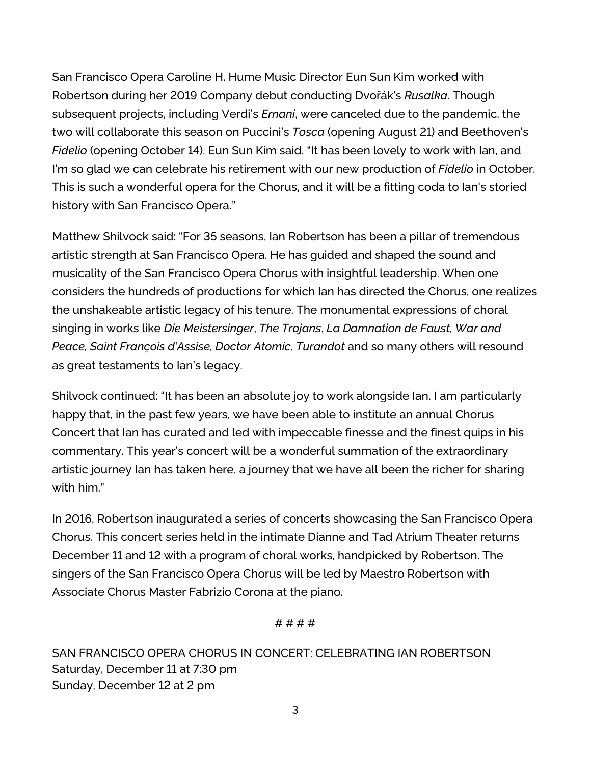San Francisco Opera Caroline H. Hume Music Director Eun Sun Kim worked with Robertson during her 2019 Company debut conducting Dvořák's *Rusalka*. Though subsequent projects, including Verdi's *Ernani*, were canceled due to the pandemic, the two will collaborate this season on Puccini's *Tosca* (opening August 21) and Beethoven's *Fidelio* (opening October 14). Eun Sun Kim said, "It has been lovely to work with Ian, and I'm so glad we can celebrate his retirement with our new production of *Fidelio* in October. This is such a wonderful opera for the Chorus, and it will be a fitting coda to Ian's storied history with San Francisco Opera."

Matthew Shilvock said: "For 35 seasons, Ian Robertson has been a pillar of tremendous artistic strength at San Francisco Opera. He has guided and shaped the sound and musicality of the San Francisco Opera Chorus with insightful leadership. When one considers the hundreds of productions for which Ian has directed the Chorus, one realizes the unshakeable artistic legacy of his tenure. The monumental expressions of choral singing in works like *Die Meistersinger*, *The Trojans*, *La Damnation de Faust, War and Peace, Saint François d'Assise, Doctor Atomic, Turandot* and so many others will resound as great testaments to Ian's legacy.

Shilvock continued: "It has been an absolute joy to work alongside Ian. I am particularly happy that, in the past few years, we have been able to institute an annual Chorus Concert that Ian has curated and led with impeccable finesse and the finest quips in his commentary. This year's concert will be a wonderful summation of the extraordinary artistic journey Ian has taken here, a journey that we have all been the richer for sharing with him."

In 2016, Robertson inaugurated a series of concerts showcasing the San Francisco Opera Chorus. This concert series held in the intimate Dianne and Tad Atrium Theater returns December 11 and 12 with a program of choral works, handpicked by Robertson. The singers of the San Francisco Opera Chorus will be led by Maestro Robertson with Associate Chorus Master Fabrizio Corona at the piano.

## # # # #

SAN FRANCISCO OPERA CHORUS IN CONCERT: CELEBRATING IAN ROBERTSON Saturday, December 11 at 7:30 pm Sunday, December 12 at 2 pm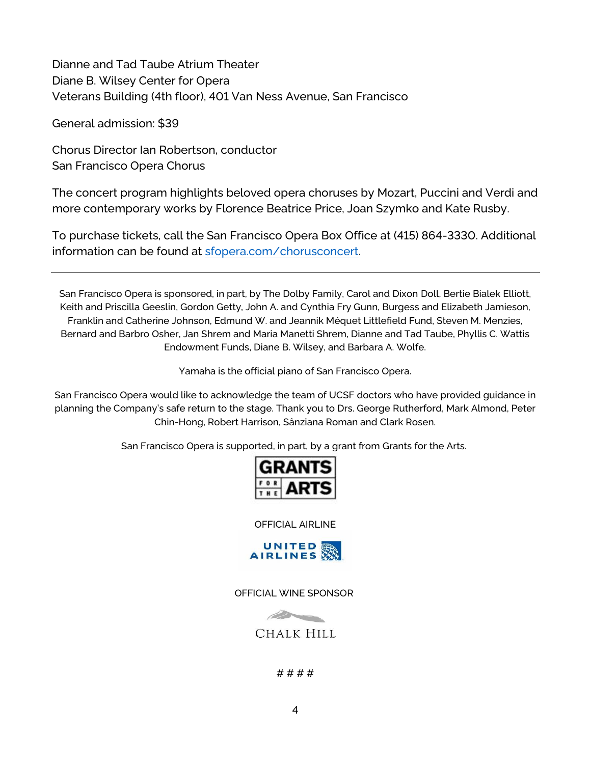Dianne and Tad Taube Atrium Theater Diane B. Wilsey Center for Opera Veterans Building (4th floor), 401 Van Ness Avenue, San Francisco

General admission: \$39

Chorus Director Ian Robertson, conductor San Francisco Opera Chorus

The concert program highlights beloved opera choruses by Mozart, Puccini and Verdi and more contemporary works by Florence Beatrice Price, Joan Szymko and Kate Rusby.

To purchase tickets, call the San Francisco Opera Box Office at (415) 864-3330. Additional information can be found at [sfopera.com/chorusconcert.](https://sfopera.com/chorusconcert)

San Francisco Opera is sponsored, in part, by The Dolby Family, Carol and Dixon Doll, Bertie Bialek Elliott, Keith and Priscilla Geeslin, Gordon Getty, John A. and Cynthia Fry Gunn, Burgess and Elizabeth Jamieson, Franklin and Catherine Johnson, Edmund W. and Jeannik Méquet Littlefield Fund, Steven M. Menzies, Bernard and Barbro Osher, Jan Shrem and Maria Manetti Shrem, Dianne and Tad Taube, Phyllis C. Wattis Endowment Funds, Diane B. Wilsey, and Barbara A. Wolfe.

Yamaha is the official piano of San Francisco Opera.

San Francisco Opera would like to acknowledge the team of UCSF doctors who have provided guidance in planning the Company's safe return to the stage. Thank you to Drs. George Rutherford, Mark Almond, Peter Chin-Hong, Robert Harrison, Sânziana Roman and Clark Rosen.

San Francisco Opera is supported, in part, by a grant from Grants for the Arts.



OFFICIAL AIRLINE



OFFICIAL WINE SPONSOR



# # # #